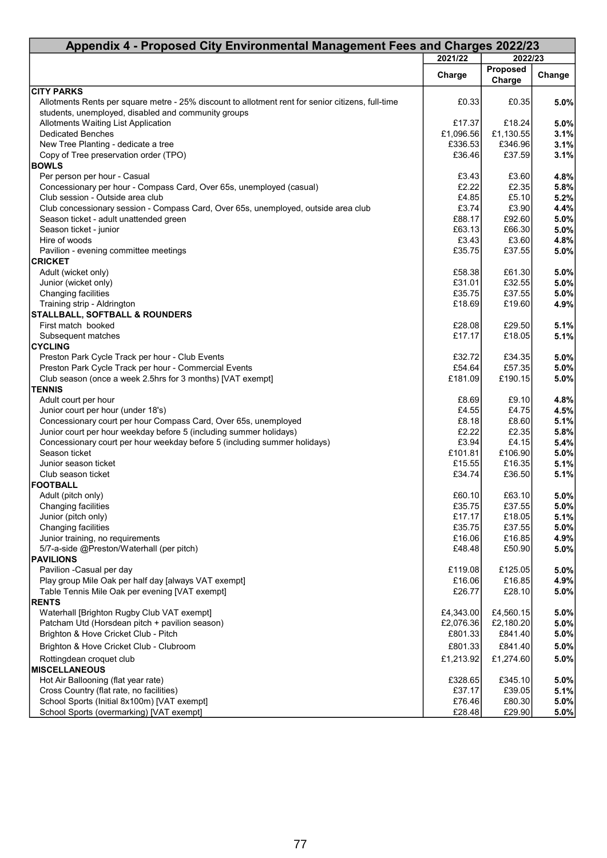| Appendix 4 - Proposed City Environmental Management Fees and Charges 2022/23                                                                             |                |                           |              |  |  |
|----------------------------------------------------------------------------------------------------------------------------------------------------------|----------------|---------------------------|--------------|--|--|
|                                                                                                                                                          | 2021/22        | 2022/23                   |              |  |  |
|                                                                                                                                                          | Charge         | <b>Proposed</b><br>Charge | Change       |  |  |
| <b>CITY PARKS</b>                                                                                                                                        |                |                           |              |  |  |
| Allotments Rents per square metre - 25% discount to allotment rent for senior citizens, full-time<br>students, unemployed, disabled and community groups | £0.33          | £0.35                     | 5.0%         |  |  |
| Allotments Waiting List Application                                                                                                                      | £17.37         | £18.24                    | 5.0%         |  |  |
| <b>Dedicated Benches</b>                                                                                                                                 | £1,096.56      | £1,130.55                 | 3.1%         |  |  |
| New Tree Planting - dedicate a tree                                                                                                                      | £336.53        | £346.96                   | 3.1%         |  |  |
| Copy of Tree preservation order (TPO)                                                                                                                    | £36.46         | £37.59                    | 3.1%         |  |  |
| <b>BOWLS</b>                                                                                                                                             |                |                           |              |  |  |
| Per person per hour - Casual                                                                                                                             | £3.43          | £3.60                     | 4.8%         |  |  |
| Concessionary per hour - Compass Card, Over 65s, unemployed (casual)                                                                                     | £2.22          | £2.35                     | 5.8%         |  |  |
| Club session - Outside area club                                                                                                                         | £4.85          | £5.10                     | 5.2%         |  |  |
| Club concessionary session - Compass Card, Over 65s, unemployed, outside area club                                                                       | £3.74          | £3.90                     | 4.4%         |  |  |
| Season ticket - adult unattended green                                                                                                                   | £88.17         | £92.60                    | 5.0%         |  |  |
| Season ticket - junior                                                                                                                                   | £63.13         | £66.30                    | 5.0%         |  |  |
| Hire of woods                                                                                                                                            | £3.43          | £3.60                     | 4.8%         |  |  |
| Pavilion - evening committee meetings                                                                                                                    | £35.75         | £37.55                    | 5.0%         |  |  |
| <b>CRICKET</b>                                                                                                                                           |                |                           |              |  |  |
| Adult (wicket only)                                                                                                                                      | £58.38         | £61.30                    | 5.0%         |  |  |
| Junior (wicket only)                                                                                                                                     | £31.01         | £32.55                    | 5.0%         |  |  |
| Changing facilities                                                                                                                                      | £35.75         | £37.55                    | 5.0%         |  |  |
| Training strip - Aldrington                                                                                                                              | £18.69         | £19.60                    | 4.9%         |  |  |
| <b>STALLBALL, SOFTBALL &amp; ROUNDERS</b>                                                                                                                |                |                           |              |  |  |
| First match booked                                                                                                                                       | £28.08         | £29.50                    | 5.1%         |  |  |
| Subsequent matches                                                                                                                                       | £17.17         | £18.05                    | 5.1%         |  |  |
| <b>CYCLING</b>                                                                                                                                           |                |                           |              |  |  |
| Preston Park Cycle Track per hour - Club Events                                                                                                          | £32.72         | £34.35                    | 5.0%         |  |  |
| Preston Park Cycle Track per hour - Commercial Events                                                                                                    | £54.64         | £57.35                    | 5.0%         |  |  |
| Club season (once a week 2.5hrs for 3 months) [VAT exempt]                                                                                               | £181.09        | £190.15                   | 5.0%         |  |  |
| <b>TENNIS</b>                                                                                                                                            |                |                           |              |  |  |
| Adult court per hour                                                                                                                                     | £8.69          | £9.10                     | 4.8%         |  |  |
| Junior court per hour (under 18's)                                                                                                                       | £4.55          | £4.75                     | 4.5%         |  |  |
| Concessionary court per hour Compass Card, Over 65s, unemployed                                                                                          | £8.18<br>£2.22 | £8.60<br>£2.35            | 5.1%         |  |  |
| Junior court per hour weekday before 5 (including summer holidays)<br>Concessionary court per hour weekday before 5 (including summer holidays)          | £3.94          | £4.15                     | 5.8%         |  |  |
| Season ticket                                                                                                                                            | £101.81        | £106.90                   | 5.4%<br>5.0% |  |  |
| Junior season ticket                                                                                                                                     | £15.55         | £16.35                    | 5.1%         |  |  |
| Club season ticket                                                                                                                                       | £34.74         | £36.50                    | 5.1%         |  |  |
| <b>FOOTBALL</b>                                                                                                                                          |                |                           |              |  |  |
| Adult (pitch only)                                                                                                                                       | £60.10         | £63.10                    | 5.0%         |  |  |
| Changing facilities                                                                                                                                      | £35.75         | £37.55                    | 5.0%         |  |  |
| Junior (pitch only)                                                                                                                                      | £17.17         | £18.05                    | 5.1%         |  |  |
| Changing facilities                                                                                                                                      | £35.75         | £37.55                    | 5.0%         |  |  |
| Junior training, no requirements                                                                                                                         | £16.06         | £16.85                    | 4.9%         |  |  |
| 5/7-a-side @Preston/Waterhall (per pitch)                                                                                                                | £48.48         | £50.90                    | 5.0%         |  |  |
| <b>PAVILIONS</b>                                                                                                                                         |                |                           |              |  |  |
| Pavilion -Casual per day                                                                                                                                 | £119.08        | £125.05                   | 5.0%         |  |  |
| Play group Mile Oak per half day [always VAT exempt]                                                                                                     | £16.06         | £16.85                    | 4.9%         |  |  |
| Table Tennis Mile Oak per evening [VAT exempt]                                                                                                           | £26.77         | £28.10                    | 5.0%         |  |  |
| <b>RENTS</b>                                                                                                                                             |                |                           |              |  |  |
| Waterhall [Brighton Rugby Club VAT exempt]                                                                                                               | £4,343.00      | £4,560.15                 | 5.0%         |  |  |
| Patcham Utd (Horsdean pitch + pavilion season)                                                                                                           | £2,076.36      | £2,180.20                 | 5.0%         |  |  |
| Brighton & Hove Cricket Club - Pitch                                                                                                                     | £801.33        | £841.40                   | 5.0%         |  |  |
| Brighton & Hove Cricket Club - Clubroom                                                                                                                  | £801.33        | £841.40                   | 5.0%         |  |  |
| Rottingdean croquet club                                                                                                                                 | £1,213.92      | £1,274.60                 | 5.0%         |  |  |
| <b>IMISCELLANEOUS</b>                                                                                                                                    |                |                           |              |  |  |
| Hot Air Ballooning (flat year rate)                                                                                                                      | £328.65        | £345.10                   | 5.0%         |  |  |
| Cross Country (flat rate, no facilities)                                                                                                                 | £37.17         | £39.05                    | 5.1%         |  |  |
| School Sports (Initial 8x100m) [VAT exempt]                                                                                                              | £76.46         | £80.30                    | 5.0%         |  |  |
| School Sports (overmarking) [VAT exempt]                                                                                                                 | £28.48         | £29.90                    | 5.0%         |  |  |